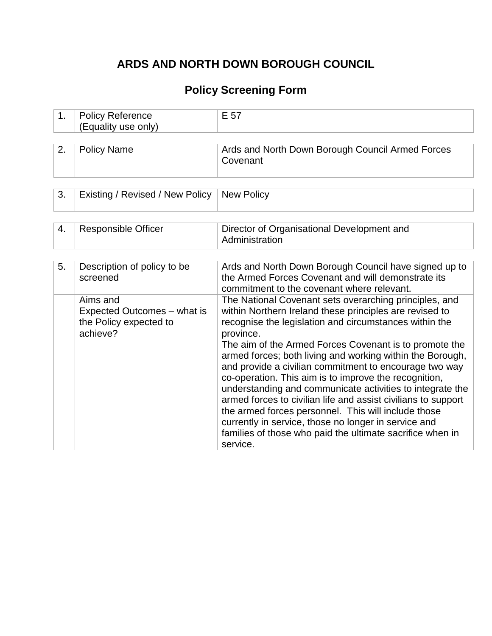### **ARDS AND NORTH DOWN BOROUGH COUNCIL**

# **Policy Screening Form**

| 1. | <b>Policy Reference</b><br>(Equality use only)                                | E 57                                                                                                                                                                                                                                                                                                                                                                                                                                                                                                                                                                                                                                                                                                                                                     |  |
|----|-------------------------------------------------------------------------------|----------------------------------------------------------------------------------------------------------------------------------------------------------------------------------------------------------------------------------------------------------------------------------------------------------------------------------------------------------------------------------------------------------------------------------------------------------------------------------------------------------------------------------------------------------------------------------------------------------------------------------------------------------------------------------------------------------------------------------------------------------|--|
| 2. | <b>Policy Name</b>                                                            | Ards and North Down Borough Council Armed Forces<br>Covenant                                                                                                                                                                                                                                                                                                                                                                                                                                                                                                                                                                                                                                                                                             |  |
| 3. | Existing / Revised / New Policy                                               | <b>New Policy</b>                                                                                                                                                                                                                                                                                                                                                                                                                                                                                                                                                                                                                                                                                                                                        |  |
| 4. | <b>Responsible Officer</b>                                                    | Director of Organisational Development and<br>Administration                                                                                                                                                                                                                                                                                                                                                                                                                                                                                                                                                                                                                                                                                             |  |
| 5. | Description of policy to be<br>screened                                       | Ards and North Down Borough Council have signed up to<br>the Armed Forces Covenant and will demonstrate its<br>commitment to the covenant where relevant.                                                                                                                                                                                                                                                                                                                                                                                                                                                                                                                                                                                                |  |
|    | Aims and<br>Expected Outcomes – what is<br>the Policy expected to<br>achieve? | The National Covenant sets overarching principles, and<br>within Northern Ireland these principles are revised to<br>recognise the legislation and circumstances within the<br>province.<br>The aim of the Armed Forces Covenant is to promote the<br>armed forces; both living and working within the Borough,<br>and provide a civilian commitment to encourage two way<br>co-operation. This aim is to improve the recognition,<br>understanding and communicate activities to integrate the<br>armed forces to civilian life and assist civilians to support<br>the armed forces personnel. This will include those<br>currently in service, those no longer in service and<br>families of those who paid the ultimate sacrifice when in<br>service. |  |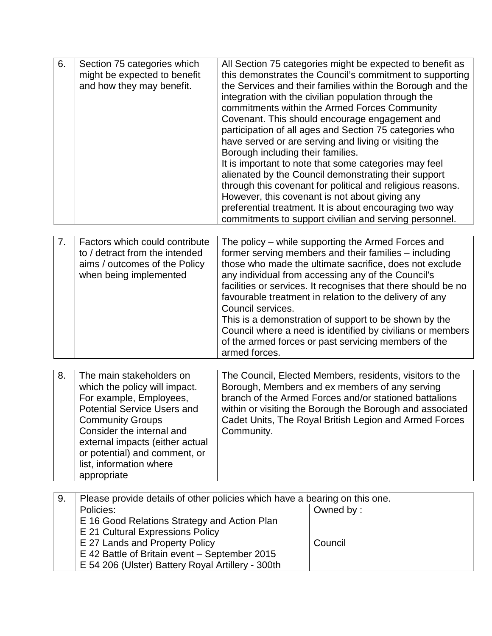| 6. | Section 75 categories which<br>might be expected to benefit<br>and how they may benefit. | All Section 75 categories might be expected to benefit as<br>this demonstrates the Council's commitment to supporting<br>the Services and their families within the Borough and the<br>integration with the civilian population through the<br>commitments within the Armed Forces Community<br>Covenant. This should encourage engagement and<br>participation of all ages and Section 75 categories who<br>have served or are serving and living or visiting the<br>Borough including their families.<br>It is important to note that some categories may feel<br>alienated by the Council demonstrating their support<br>through this covenant for political and religious reasons.<br>However, this covenant is not about giving any<br>preferential treatment. It is about encouraging two way<br>commitments to support civilian and serving personnel. |
|----|------------------------------------------------------------------------------------------|---------------------------------------------------------------------------------------------------------------------------------------------------------------------------------------------------------------------------------------------------------------------------------------------------------------------------------------------------------------------------------------------------------------------------------------------------------------------------------------------------------------------------------------------------------------------------------------------------------------------------------------------------------------------------------------------------------------------------------------------------------------------------------------------------------------------------------------------------------------|

|  | Factors which could contribute<br>to / detract from the intended<br>aims / outcomes of the Policy<br>when being implemented | The policy – while supporting the Armed Forces and<br>former serving members and their families - including<br>those who made the ultimate sacrifice, does not exclude<br>any individual from accessing any of the Council's<br>facilities or services. It recognises that there should be no<br>favourable treatment in relation to the delivery of any<br>Council services.<br>This is a demonstration of support to be shown by the<br>Council where a need is identified by civilians or members<br>of the armed forces or past servicing members of the<br>armed forces. |
|--|-----------------------------------------------------------------------------------------------------------------------------|-------------------------------------------------------------------------------------------------------------------------------------------------------------------------------------------------------------------------------------------------------------------------------------------------------------------------------------------------------------------------------------------------------------------------------------------------------------------------------------------------------------------------------------------------------------------------------|
|--|-----------------------------------------------------------------------------------------------------------------------------|-------------------------------------------------------------------------------------------------------------------------------------------------------------------------------------------------------------------------------------------------------------------------------------------------------------------------------------------------------------------------------------------------------------------------------------------------------------------------------------------------------------------------------------------------------------------------------|

| 8. | The main stakeholders on           | The Council, Elected Members, residents, visitors to the  |
|----|------------------------------------|-----------------------------------------------------------|
|    | which the policy will impact.      | Borough, Members and ex members of any serving            |
|    | For example, Employees,            | branch of the Armed Forces and/or stationed battalions    |
|    | <b>Potential Service Users and</b> | within or visiting the Borough the Borough and associated |
|    | <b>Community Groups</b>            | Cadet Units, The Royal British Legion and Armed Forces    |
|    | Consider the internal and          | Community.                                                |
|    | external impacts (either actual    |                                                           |
|    | or potential) and comment, or      |                                                           |
|    | list, information where            |                                                           |
|    | appropriate                        |                                                           |

| Please provide details of other policies which have a bearing on this one. |           |
|----------------------------------------------------------------------------|-----------|
| Policies:                                                                  | Owned by: |
| E 16 Good Relations Strategy and Action Plan                               |           |
| E 21 Cultural Expressions Policy                                           |           |
| E 27 Lands and Property Policy                                             | Council   |
| E 42 Battle of Britain event – September 2015                              |           |
| E 54 206 (Ulster) Battery Royal Artillery - 300th                          |           |
|                                                                            |           |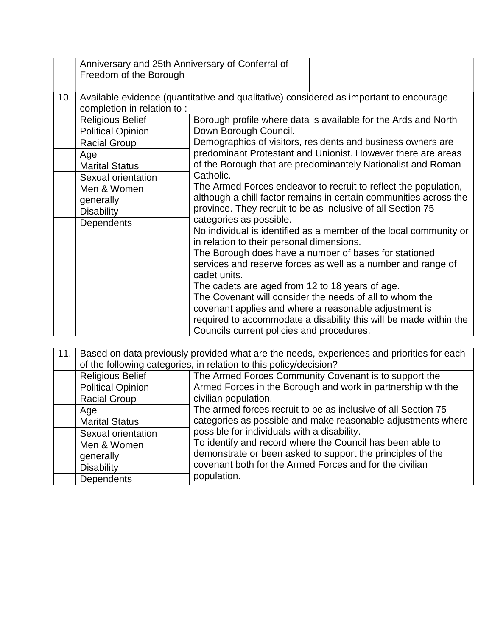|     | Anniversary and 25th Anniversary of Conferral of<br>Freedom of the Borough |                                                                                                                                                                                                                  |  |
|-----|----------------------------------------------------------------------------|------------------------------------------------------------------------------------------------------------------------------------------------------------------------------------------------------------------|--|
| 10. |                                                                            | Available evidence (quantitative and qualitative) considered as important to encourage                                                                                                                           |  |
|     | completion in relation to:                                                 |                                                                                                                                                                                                                  |  |
|     | <b>Religious Belief</b>                                                    | Borough profile where data is available for the Ards and North                                                                                                                                                   |  |
|     | <b>Political Opinion</b>                                                   | Down Borough Council.                                                                                                                                                                                            |  |
|     | <b>Racial Group</b>                                                        | Demographics of visitors, residents and business owners are                                                                                                                                                      |  |
|     | Age                                                                        | predominant Protestant and Unionist. However there are areas                                                                                                                                                     |  |
|     | <b>Marital Status</b>                                                      | of the Borough that are predominantely Nationalist and Roman                                                                                                                                                     |  |
|     | Sexual orientation                                                         | Catholic.<br>The Armed Forces endeavor to recruit to reflect the population,<br>although a chill factor remains in certain communities across the<br>province. They recruit to be as inclusive of all Section 75 |  |
|     | Men & Women                                                                |                                                                                                                                                                                                                  |  |
|     | generally                                                                  |                                                                                                                                                                                                                  |  |
|     | <b>Disability</b>                                                          |                                                                                                                                                                                                                  |  |
|     | Dependents                                                                 | categories as possible.                                                                                                                                                                                          |  |
|     |                                                                            | No individual is identified as a member of the local community or<br>in relation to their personal dimensions.                                                                                                   |  |
|     |                                                                            | The Borough does have a number of bases for stationed                                                                                                                                                            |  |
|     |                                                                            | services and reserve forces as well as a number and range of                                                                                                                                                     |  |
|     |                                                                            | cadet units.                                                                                                                                                                                                     |  |
|     |                                                                            | The cadets are aged from 12 to 18 years of age.                                                                                                                                                                  |  |
|     |                                                                            | The Covenant will consider the needs of all to whom the                                                                                                                                                          |  |
|     |                                                                            | covenant applies and where a reasonable adjustment is                                                                                                                                                            |  |
|     |                                                                            | required to accommodate a disability this will be made within the<br>Councils current policies and procedures.                                                                                                   |  |

| 11. | Based on data previously provided what are the needs, experiences and priorities for each |                                                                                                                                                                                                                                                                   |  |
|-----|-------------------------------------------------------------------------------------------|-------------------------------------------------------------------------------------------------------------------------------------------------------------------------------------------------------------------------------------------------------------------|--|
|     | of the following categories, in relation to this policy/decision?                         |                                                                                                                                                                                                                                                                   |  |
|     | <b>Religious Belief</b>                                                                   | The Armed Forces Community Covenant is to support the                                                                                                                                                                                                             |  |
|     | <b>Political Opinion</b>                                                                  | Armed Forces in the Borough and work in partnership with the                                                                                                                                                                                                      |  |
|     | <b>Racial Group</b>                                                                       | civilian population.<br>The armed forces recruit to be as inclusive of all Section 75<br>categories as possible and make reasonable adjustments where<br>possible for individuals with a disability.<br>To identify and record where the Council has been able to |  |
|     | Age                                                                                       |                                                                                                                                                                                                                                                                   |  |
|     | <b>Marital Status</b>                                                                     |                                                                                                                                                                                                                                                                   |  |
|     | Sexual orientation                                                                        |                                                                                                                                                                                                                                                                   |  |
|     | Men & Women                                                                               |                                                                                                                                                                                                                                                                   |  |
|     | generally                                                                                 | demonstrate or been asked to support the principles of the                                                                                                                                                                                                        |  |
|     | <b>Disability</b>                                                                         | covenant both for the Armed Forces and for the civilian                                                                                                                                                                                                           |  |
|     | Dependents                                                                                | population.                                                                                                                                                                                                                                                       |  |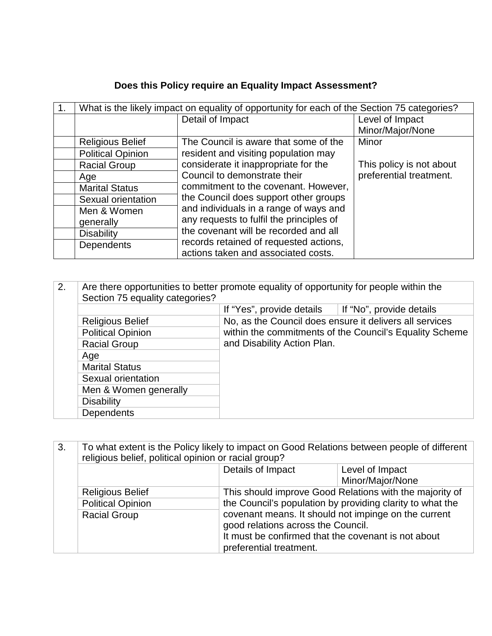## **Does this Policy require an Equality Impact Assessment?**

| 1. | What is the likely impact on equality of opportunity for each of the Section 75 categories? |                                          |                          |
|----|---------------------------------------------------------------------------------------------|------------------------------------------|--------------------------|
|    |                                                                                             | Detail of Impact                         | Level of Impact          |
|    |                                                                                             |                                          | Minor/Major/None         |
|    | <b>Religious Belief</b>                                                                     | The Council is aware that some of the    | Minor                    |
|    | <b>Political Opinion</b>                                                                    | resident and visiting population may     |                          |
|    | <b>Racial Group</b>                                                                         | considerate it inappropriate for the     | This policy is not about |
|    | Age                                                                                         | Council to demonstrate their             | preferential treatment.  |
|    | <b>Marital Status</b>                                                                       | commitment to the covenant. However,     |                          |
|    | Sexual orientation                                                                          | the Council does support other groups    |                          |
|    | Men & Women                                                                                 | and individuals in a range of ways and   |                          |
|    | generally                                                                                   | any requests to fulfil the principles of |                          |
|    | <b>Disability</b>                                                                           | the covenant will be recorded and all    |                          |
|    | <b>Dependents</b>                                                                           | records retained of requested actions,   |                          |
|    |                                                                                             | actions taken and associated costs.      |                          |

| 2. | Are there opportunities to better promote equality of opportunity for people within the<br>Section 75 equality categories? |                                                                                                                                                   |                          |
|----|----------------------------------------------------------------------------------------------------------------------------|---------------------------------------------------------------------------------------------------------------------------------------------------|--------------------------|
|    |                                                                                                                            | If "Yes", provide details                                                                                                                         | If "No", provide details |
|    | <b>Religious Belief</b>                                                                                                    | No, as the Council does ensure it delivers all services<br>within the commitments of the Council's Equality Scheme<br>and Disability Action Plan. |                          |
|    | <b>Political Opinion</b>                                                                                                   |                                                                                                                                                   |                          |
|    | <b>Racial Group</b>                                                                                                        |                                                                                                                                                   |                          |
|    | Age                                                                                                                        |                                                                                                                                                   |                          |
|    | <b>Marital Status</b>                                                                                                      |                                                                                                                                                   |                          |
|    | Sexual orientation                                                                                                         |                                                                                                                                                   |                          |
|    | Men & Women generally                                                                                                      |                                                                                                                                                   |                          |
|    | <b>Disability</b>                                                                                                          |                                                                                                                                                   |                          |
|    | <b>Dependents</b>                                                                                                          |                                                                                                                                                   |                          |

| 3.<br>To what extent is the Policy likely to impact on Good Relations between people of different<br>religious belief, political opinion or racial group? |                         |                                                                                                                                                                              |                  |
|-----------------------------------------------------------------------------------------------------------------------------------------------------------|-------------------------|------------------------------------------------------------------------------------------------------------------------------------------------------------------------------|------------------|
|                                                                                                                                                           |                         | Details of Impact<br>Level of Impact                                                                                                                                         |                  |
|                                                                                                                                                           |                         |                                                                                                                                                                              | Minor/Major/None |
|                                                                                                                                                           | <b>Religious Belief</b> | This should improve Good Relations with the majority of                                                                                                                      |                  |
| <b>Political Opinion</b>                                                                                                                                  |                         | the Council's population by providing clarity to what the                                                                                                                    |                  |
|                                                                                                                                                           | <b>Racial Group</b>     | covenant means. It should not impinge on the current<br>good relations across the Council.<br>It must be confirmed that the covenant is not about<br>preferential treatment. |                  |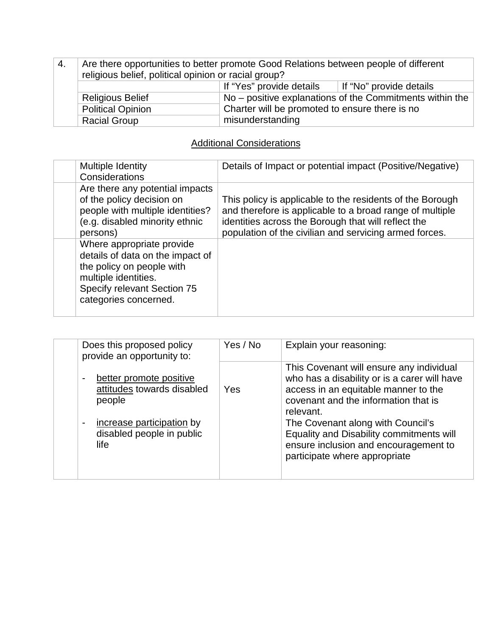| -4.                                                                                                                                                               | Are there opportunities to better promote Good Relations between people of different<br>religious belief, political opinion or racial group? |  |  |
|-------------------------------------------------------------------------------------------------------------------------------------------------------------------|----------------------------------------------------------------------------------------------------------------------------------------------|--|--|
|                                                                                                                                                                   | If "Yes" provide details<br>If "No" provide details                                                                                          |  |  |
| No – positive explanations of the Commitments within the<br><b>Religious Belief</b><br>Charter will be promoted to ensure there is no<br><b>Political Opinion</b> |                                                                                                                                              |  |  |
|                                                                                                                                                                   |                                                                                                                                              |  |  |
|                                                                                                                                                                   | misunderstanding<br><b>Racial Group</b>                                                                                                      |  |  |

### **Additional Considerations**

| Multiple Identity<br>Considerations                                                                                                                                        | Details of Impact or potential impact (Positive/Negative)                                                                                                                                                                              |
|----------------------------------------------------------------------------------------------------------------------------------------------------------------------------|----------------------------------------------------------------------------------------------------------------------------------------------------------------------------------------------------------------------------------------|
| Are there any potential impacts<br>of the policy decision on<br>people with multiple identities?<br>(e.g. disabled minority ethnic<br>persons)                             | This policy is applicable to the residents of the Borough<br>and therefore is applicable to a broad range of multiple<br>identities across the Borough that will reflect the<br>population of the civilian and servicing armed forces. |
| Where appropriate provide<br>details of data on the impact of<br>the policy on people with<br>multiple identities.<br>Specify relevant Section 75<br>categories concerned. |                                                                                                                                                                                                                                        |

| Does this proposed policy<br>provide an opportunity to:                                                                           | Yes / No | Explain your reasoning:                                                                                                                                                                                                                                                                                                                          |
|-----------------------------------------------------------------------------------------------------------------------------------|----------|--------------------------------------------------------------------------------------------------------------------------------------------------------------------------------------------------------------------------------------------------------------------------------------------------------------------------------------------------|
| better promote positive<br>attitudes towards disabled<br>people<br>increase participation by<br>disabled people in public<br>life | Yes      | This Covenant will ensure any individual<br>who has a disability or is a carer will have<br>access in an equitable manner to the<br>covenant and the information that is<br>relevant.<br>The Covenant along with Council's<br>Equality and Disability commitments will<br>ensure inclusion and encouragement to<br>participate where appropriate |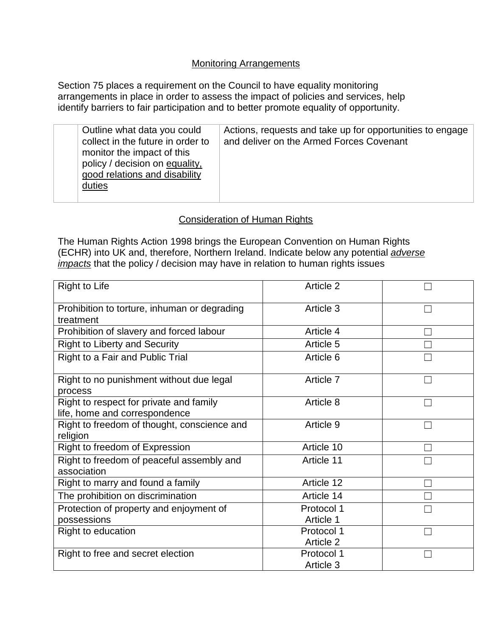#### Monitoring Arrangements

Section 75 places a requirement on the Council to have equality monitoring arrangements in place in order to assess the impact of policies and services, help identify barriers to fair participation and to better promote equality of opportunity.

| Outline what data you could<br>collect in the future in order to<br>monitor the impact of this<br>policy / decision on equality,<br>good relations and disability<br>duties | Actions, requests and take up for opportunities to engage<br>and deliver on the Armed Forces Covenant |
|-----------------------------------------------------------------------------------------------------------------------------------------------------------------------------|-------------------------------------------------------------------------------------------------------|
|-----------------------------------------------------------------------------------------------------------------------------------------------------------------------------|-------------------------------------------------------------------------------------------------------|

#### Consideration of Human Rights

The Human Rights Action 1998 brings the European Convention on Human Rights (ECHR) into UK and, therefore, Northern Ireland. Indicate below any potential *adverse impacts* that the policy / decision may have in relation to human rights issues

| Right to Life                                                            | Article 2               |  |
|--------------------------------------------------------------------------|-------------------------|--|
| Prohibition to torture, inhuman or degrading<br>treatment                | Article 3               |  |
| Prohibition of slavery and forced labour                                 | Article 4               |  |
| <b>Right to Liberty and Security</b>                                     | Article 5               |  |
| Right to a Fair and Public Trial                                         | Article 6               |  |
| Right to no punishment without due legal<br>process                      | Article 7               |  |
| Right to respect for private and family<br>life, home and correspondence | Article 8               |  |
| Right to freedom of thought, conscience and<br>religion                  | Article 9               |  |
| Right to freedom of Expression                                           | Article 10              |  |
| Right to freedom of peaceful assembly and<br>association                 | Article 11              |  |
| Right to marry and found a family                                        | Article 12              |  |
| The prohibition on discrimination                                        | Article 14              |  |
| Protection of property and enjoyment of<br>possessions                   | Protocol 1<br>Article 1 |  |
| Right to education                                                       | Protocol 1<br>Article 2 |  |
| Right to free and secret election                                        | Protocol 1<br>Article 3 |  |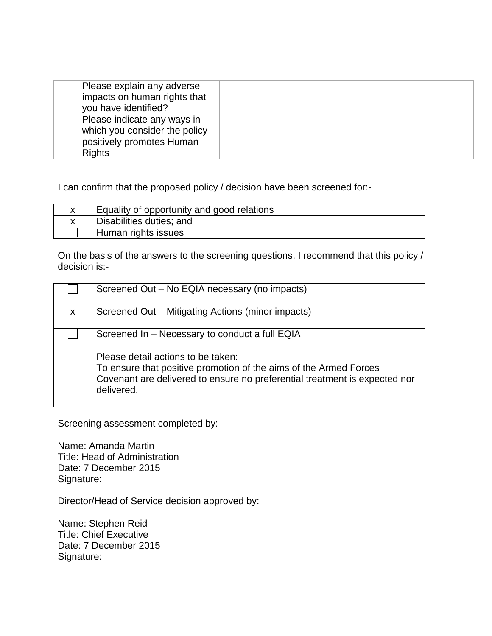| Please explain any adverse<br>impacts on human rights that<br>you have identified?                         |  |
|------------------------------------------------------------------------------------------------------------|--|
| Please indicate any ways in<br>which you consider the policy<br>positively promotes Human<br><b>Rights</b> |  |

I can confirm that the proposed policy / decision have been screened for:-

| Equality of opportunity and good relations |
|--------------------------------------------|
| Disabilities duties; and                   |
| Human rights issues                        |

On the basis of the answers to the screening questions, I recommend that this policy / decision is:-

|              | Screened Out - No EQIA necessary (no impacts)                                                                                                                                                       |
|--------------|-----------------------------------------------------------------------------------------------------------------------------------------------------------------------------------------------------|
| $\mathsf{x}$ | Screened Out – Mitigating Actions (minor impacts)                                                                                                                                                   |
|              | Screened In - Necessary to conduct a full EQIA                                                                                                                                                      |
|              | Please detail actions to be taken:<br>To ensure that positive promotion of the aims of the Armed Forces<br>Covenant are delivered to ensure no preferential treatment is expected nor<br>delivered. |

Screening assessment completed by:-

Name: Amanda Martin Title: Head of Administration Date: 7 December 2015 Signature:

Director/Head of Service decision approved by:

Name: Stephen Reid Title: Chief Executive Date: 7 December 2015 Signature: